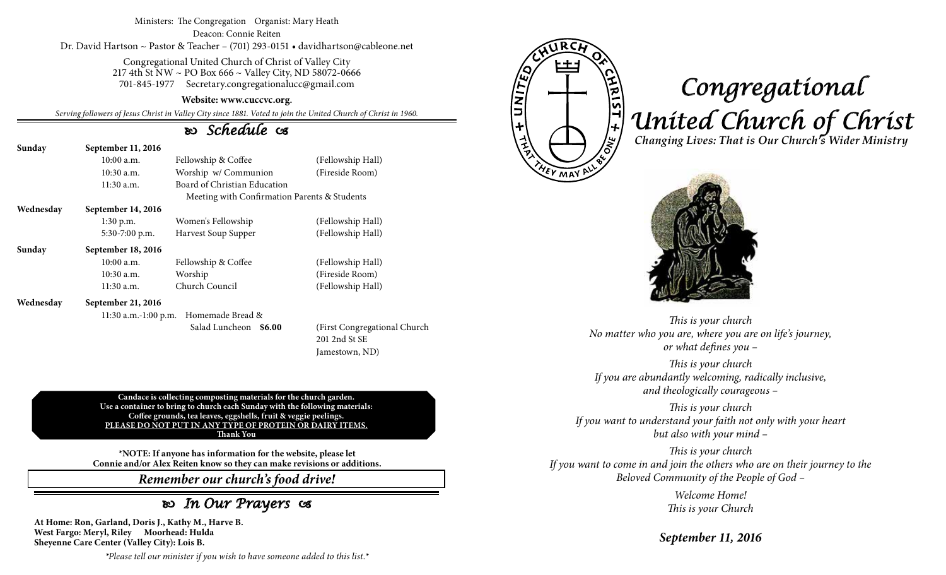#### Ministers: The Congregation Organist: Mary Heath Deacon: Connie Reiten Dr. David Hartson ~ Pastor & Teacher – (701) 293-0151 • davidhartson@cableone.net

Congregational United Church of Christ of Valley City 217 4th St NW ~ PO Box 666 ~ Valley City, ND 58072-0666 701-845-1977 Secretary.congregationalucc@gmail.com

#### **Website: www.cuccvc.org.**

*Serving followers of Jesus Christ in Valley City since 1881. Voted to join the United Church of Christ in 1960.*

### *Schedule*

| Sunday    | September 11, 2016                           |                              |                   |  |  |
|-----------|----------------------------------------------|------------------------------|-------------------|--|--|
|           | $10:00$ a.m.                                 | Fellowship & Coffee          | (Fellowship Hall) |  |  |
|           | $10:30$ a.m.                                 | Worship w/ Communion         | (Fireside Room)   |  |  |
|           | $11:30$ a.m.                                 | Board of Christian Education |                   |  |  |
|           | Meeting with Confirmation Parents & Students |                              |                   |  |  |
| Wednesday | September 14, 2016                           |                              |                   |  |  |
|           | $1:30$ p.m.                                  | Women's Fellowship           | (Fellowship Hall) |  |  |
|           | 5:30-7:00 p.m.                               | Harvest Soup Supper          | (Fellowship Hall) |  |  |
| Sunday    | September 18, 2016                           |                              |                   |  |  |
|           | $10:00$ a.m.                                 | Fellowship & Coffee          | (Fellowship Hall) |  |  |
|           | $10:30$ a.m.                                 | Worship                      | (Fireside Room)   |  |  |
|           | $11:30$ a.m.                                 | Church Council               | (Fellowship Hall) |  |  |
| Wednesday | September 21, 2016                           |                              |                   |  |  |
|           | 11:30 a.m.-1:00 p.m. Homemade Bread &        |                              |                   |  |  |

 Salad Luncheon **\$6.00** (First Congregational Church 201 2nd St SE Jamestown, ND)

**Candace is collecting composting materials for the church garden. Use a container to bring to church each Sunday with the following materials: Coffee grounds, tea leaves, eggshells, fruit & veggie peelings. PLEASE DO NOT PUT IN ANY TYPE OF PROTEIN OR DAIRY ITEMS. Thank You**

**\*NOTE: If anyone has information for the website, please let Connie and/or Alex Reiten know so they can make revisions or additions.**

*Remember our church's food drive!*

## *In Our Prayers*

**At Home: Ron, Garland, Doris J., Kathy M., Harve B. West Fargo: Meryl, Riley Moorhead: Hulda Sheyenne Care Center (Valley City): Lois B.**

*\*Please tell our minister if you wish to have someone added to this list.\**



# *Congregational United Church of Christ Changing Lives: That is Our Church's Wider Ministry*



*This is your church No matter who you are, where you are on life's journey, or what defines you –*

*This is your church If you are abundantly welcoming, radically inclusive, and theologically courageous –*

*This is your church If you want to understand your faith not only with your heart but also with your mind –*

*This is your church If you want to come in and join the others who are on their journey to the Beloved Community of the People of God –*

> *Welcome Home! This is your Church*

*September 11, 2016*